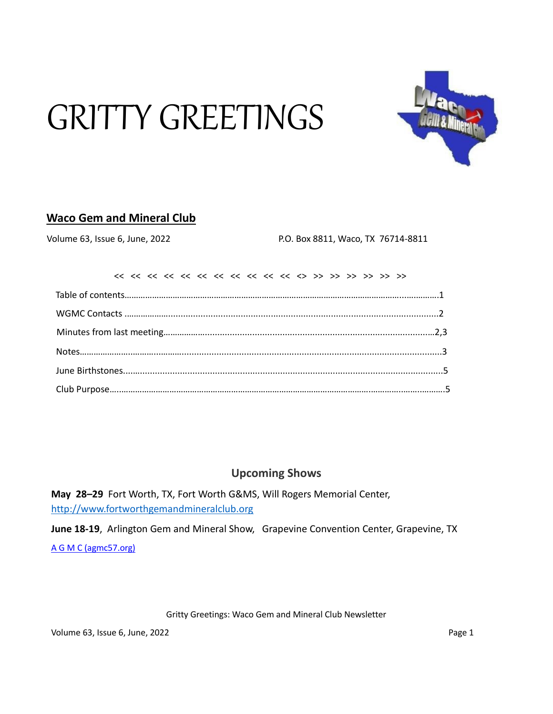# GRITTY GREETINGS



## **Waco Gem and Mineral Club**

Volume 63, Issue 6, June, 2022 P.O. Box 8811, Waco, TX 76714-8811

## **Upcoming Shows**

**May 28–29** Fort Worth, TX, Fort Worth G&MS, Will Rogers Memorial Center, [http://www.fortworthgemandmineralclub.org](http://www.fortworthgemandmineralclub.org/)

**June 18-19**, Arlington Gem and Mineral Show, Grapevine Convention Center, Grapevine, TX [A G M C \(agmc57.org\)](https://www.agmc57.org/)

Gritty Greetings: Waco Gem and Mineral Club Newsletter

Volume 63, Issue 6, June, 2022 **Page 1** Page 1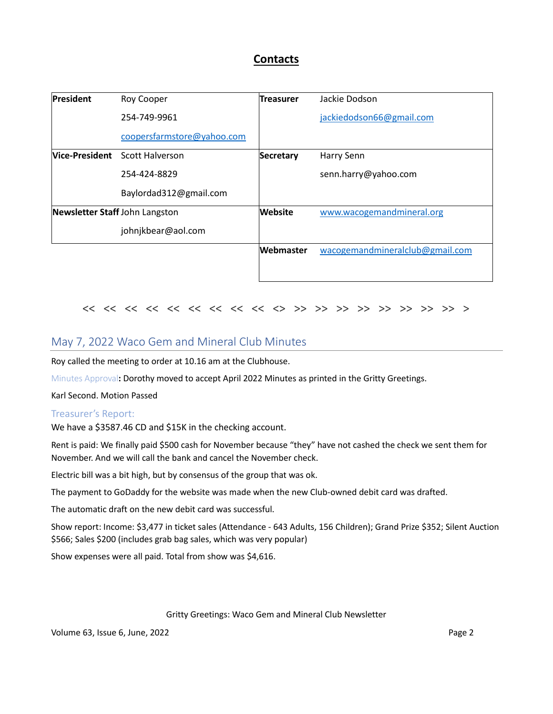## **Contacts**

| <b>President</b>               | Roy Cooper                            | <b>Treasurer</b> | Jackie Dodson                   |
|--------------------------------|---------------------------------------|------------------|---------------------------------|
|                                | 254-749-9961                          |                  | jackiedodson66@gmail.com        |
|                                | coopersfarmstore@yahoo.com            |                  |                                 |
|                                | <b>Nice-President</b> Scott Halverson | <b>Secretary</b> | Harry Senn                      |
|                                | 254-424-8829                          |                  | senn.harry@yahoo.com            |
|                                | Baylordad312@gmail.com                |                  |                                 |
| Newsletter Staff John Langston |                                       | <b>Website</b>   | www.wacogemandmineral.org       |
|                                | johnjkbear@aol.com                    |                  |                                 |
|                                |                                       | Webmaster        | wacogemandmineralclub@gmail.com |
|                                |                                       |                  |                                 |

#### << << << << << << << << << <> >> >> >> >> >> >> >> >> >

## May 7, 2022 Waco Gem and Mineral Club Minutes

Roy called the meeting to order at 10.16 am at the Clubhouse.

Minutes Approval**:** Dorothy moved to accept April 2022 Minutes as printed in the Gritty Greetings.

Karl Second. Motion Passed

#### Treasurer's Report:

We have a \$3587.46 CD and \$15K in the checking account.

Rent is paid: We finally paid \$500 cash for November because "they" have not cashed the check we sent them for November. And we will call the bank and cancel the November check.

Electric bill was a bit high, but by consensus of the group that was ok.

The payment to GoDaddy for the website was made when the new Club-owned debit card was drafted.

The automatic draft on the new debit card was successful.

Show report: Income: \$3,477 in ticket sales (Attendance - 643 Adults, 156 Children); Grand Prize \$352; Silent Auction \$566; Sales \$200 (includes grab bag sales, which was very popular)

Show expenses were all paid. Total from show was \$4,616.

#### Gritty Greetings: Waco Gem and Mineral Club Newsletter

Volume 63, Issue 6, June, 2022 **Page 2** Page 2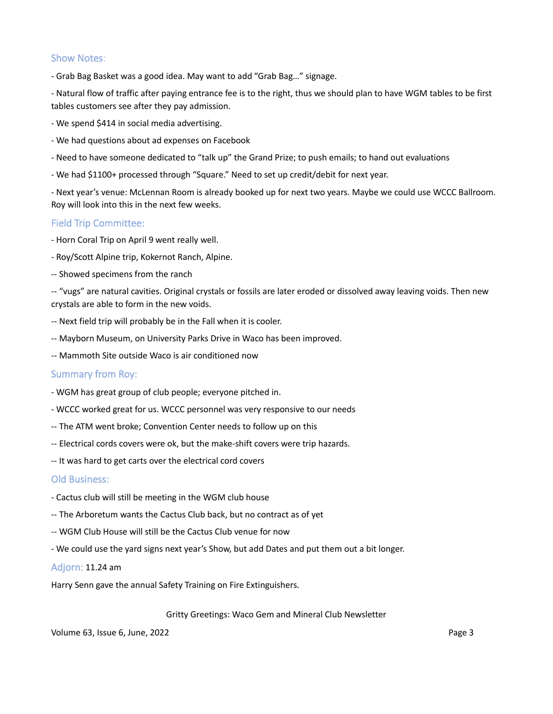#### Show Notes:

- Grab Bag Basket was a good idea. May want to add "Grab Bag…" signage.

- Natural flow of traffic after paying entrance fee is to the right, thus we should plan to have WGM tables to be first tables customers see after they pay admission.

- We spend \$414 in social media advertising.
- We had questions about ad expenses on Facebook
- Need to have someone dedicated to "talk up" the Grand Prize; to push emails; to hand out evaluations
- We had \$1100+ processed through "Square." Need to set up credit/debit for next year.

- Next year's venue: McLennan Room is already booked up for next two years. Maybe we could use WCCC Ballroom. Roy will look into this in the next few weeks.

#### Field Trip Committee:

- Horn Coral Trip on April 9 went really well.
- Roy/Scott Alpine trip, Kokernot Ranch, Alpine.
- -- Showed specimens from the ranch

-- "vugs" are natural cavities. Original crystals or fossils are later eroded or dissolved away leaving voids. Then new crystals are able to form in the new voids.

- -- Next field trip will probably be in the Fall when it is cooler.
- -- Mayborn Museum, on University Parks Drive in Waco has been improved.
- -- Mammoth Site outside Waco is air conditioned now

#### Summary from Roy:

- WGM has great group of club people; everyone pitched in.
- WCCC worked great for us. WCCC personnel was very responsive to our needs
- -- The ATM went broke; Convention Center needs to follow up on this
- -- Electrical cords covers were ok, but the make-shift covers were trip hazards.
- -- It was hard to get carts over the electrical cord covers

#### Old Business:

- Cactus club will still be meeting in the WGM club house
- -- The Arboretum wants the Cactus Club back, but no contract as of yet
- -- WGM Club House will still be the Cactus Club venue for now
- We could use the yard signs next year's Show, but add Dates and put them out a bit longer.

#### Adjorn: 11.24 am

Harry Senn gave the annual Safety Training on Fire Extinguishers.

#### Gritty Greetings: Waco Gem and Mineral Club Newsletter

Volume 63, Issue 6, June, 2022 **Page 3** Page 3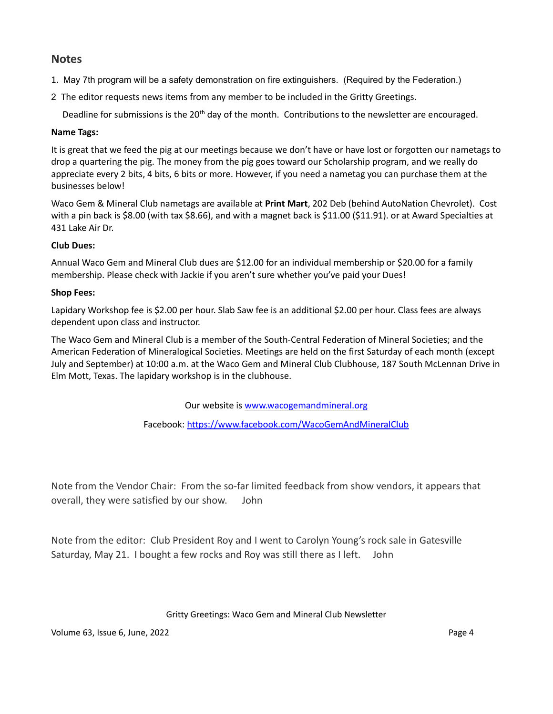## **Notes**

- 1. May 7th program will be a safety demonstration on fire extinguishers. (Required by the Federation.)
- 2The editor requests news items from any member to be included in the Gritty Greetings.

Deadline for submissions is the 20<sup>th</sup> day of the month. Contributions to the newsletter are encouraged.

#### **Name Tags:**

It is great that we feed the pig at our meetings because we don't have or have lost or forgotten our nametags to drop a quartering the pig. The money from the pig goes toward our Scholarship program, and we really do appreciate every 2 bits, 4 bits, 6 bits or more. However, if you need a nametag you can purchase them at the businesses below!

Waco Gem & Mineral Club nametags are available at **Print Mart**, 202 Deb (behind AutoNation Chevrolet). Cost with a pin back is \$8.00 (with tax \$8.66), and with a magnet back is \$11.00 (\$11.91). or at Award Specialties at 431 Lake Air Dr.

#### **Club Dues:**

Annual Waco Gem and Mineral Club dues are \$12.00 for an individual membership or \$20.00 for a family membership. Please check with Jackie if you aren't sure whether you've paid your Dues!

#### **Shop Fees:**

Lapidary Workshop fee is \$2.00 per hour. Slab Saw fee is an additional \$2.00 per hour. Class fees are always dependent upon class and instructor.

The Waco Gem and Mineral Club is a member of the South-Central Federation of Mineral Societies; and the American Federation of Mineralogical Societies. Meetings are held on the first Saturday of each month (except July and September) at 10:00 a.m. at the Waco Gem and Mineral Club Clubhouse, 187 South McLennan Drive in Elm Mott, Texas. The lapidary workshop is in the clubhouse.

Our website is www.wacogemandmineral.org

Facebook:<https://www.facebook.com/WacoGemAndMineralClub>

Note from the Vendor Chair: From the so-far limited feedback from show vendors, it appears that overall, they were satisfied by our show. John

Note from the editor: Club President Roy and I went to Carolyn Young's rock sale in Gatesville Saturday, May 21. I bought a few rocks and Roy was still there as I left. John

#### Gritty Greetings: Waco Gem and Mineral Club Newsletter

Volume 63, Issue 6, June, 2022 Page 4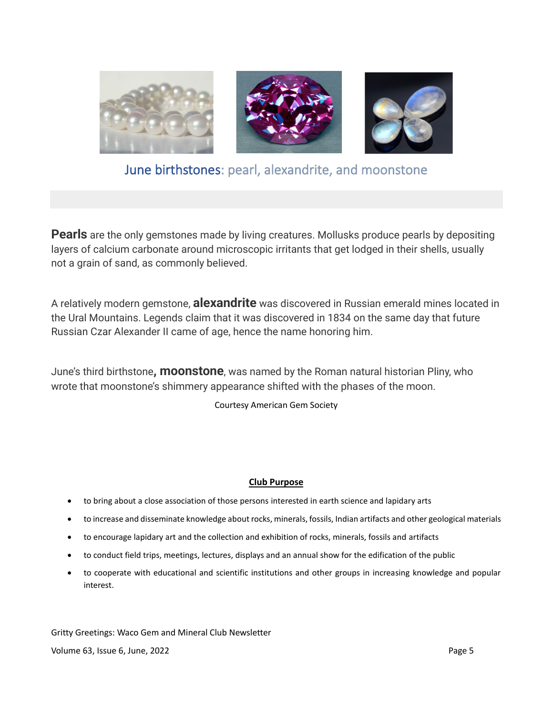

## June birthstones: pearl, alexandrite, and moonstone

**Pearls** are the only gemstones made by living creatures. Mollusks produce pearls by depositing layers of calcium carbonate around microscopic irritants that get lodged in their shells, usually not a grain of sand, as commonly believed.

A relatively modern gemstone, **alexandrite** was discovered in Russian emerald mines located in the Ural Mountains. Legends claim that it was discovered in 1834 on the same day that future Russian Czar Alexander II came of age, hence the name honoring him.

June's third birthstone**, moonstone**, was named by the Roman natural historian Pliny, who wrote that moonstone's shimmery appearance shifted with the phases of the moon.

Courtesy American Gem Society

#### **Club Purpose**

- to bring about a close association of those persons interested in earth science and lapidary arts
- to increase and disseminate knowledge about rocks, minerals, fossils, Indian artifacts and other geological materials
- to encourage lapidary art and the collection and exhibition of rocks, minerals, fossils and artifacts
- to conduct field trips, meetings, lectures, displays and an annual show for the edification of the public
- to cooperate with educational and scientific institutions and other groups in increasing knowledge and popular interest.

Gritty Greetings: Waco Gem and Mineral Club Newsletter Volume 63, Issue 6, June, 2022 **Page 5** Page 5